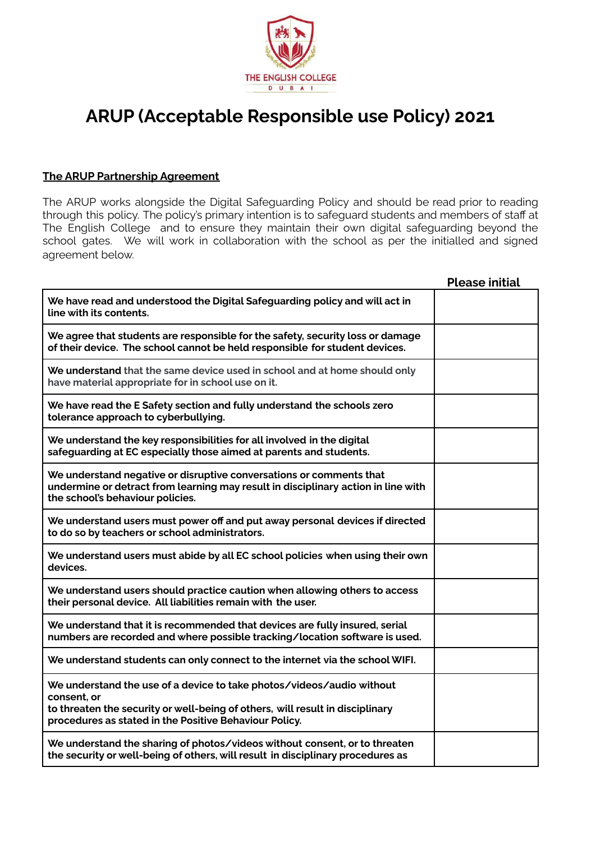

## **ARUP (Acceptable Responsible use Policy) 2021**

## **The ARUP Partnership Agreement**

The ARUP works alongside the Digital Safeguarding Policy and should be read prior to reading through this policy. The policy's primary intention is to safeguard students and members of staff at The English College and to ensure they maintain their own digital safeguarding beyond the school gates. We will work in collaboration with the school as per the initialled and signed agreement below.

|                                                                                                                                                                                                                                 | <b>Please initial</b> |
|---------------------------------------------------------------------------------------------------------------------------------------------------------------------------------------------------------------------------------|-----------------------|
| We have read and understood the Digital Safeguarding policy and will act in<br>line with its contents.                                                                                                                          |                       |
| We agree that students are responsible for the safety, security loss or damage<br>of their device. The school cannot be held responsible for student devices.                                                                   |                       |
| We understand that the same device used in school and at home should only<br>have material appropriate for in school use on it.                                                                                                 |                       |
| We have read the E Safety section and fully understand the schools zero<br>tolerance approach to cyberbullying.                                                                                                                 |                       |
| We understand the key responsibilities for all involved in the digital<br>safeguarding at EC especially those aimed at parents and students.                                                                                    |                       |
| We understand negative or disruptive conversations or comments that<br>undermine or detract from learning may result in disciplinary action in line with<br>the school's behaviour policies.                                    |                       |
| We understand users must power off and put away personal devices if directed<br>to do so by teachers or school administrators.                                                                                                  |                       |
| We understand users must abide by all EC school policies when using their own<br>devices.                                                                                                                                       |                       |
| We understand users should practice caution when allowing others to access<br>their personal device. All liabilities remain with the user.                                                                                      |                       |
| We understand that it is recommended that devices are fully insured, serial<br>numbers are recorded and where possible tracking/location software is used.                                                                      |                       |
| We understand students can only connect to the internet via the school WIFI.                                                                                                                                                    |                       |
| We understand the use of a device to take photos/videos/audio without<br>consent, or<br>to threaten the security or well-being of others, will result in disciplinary<br>procedures as stated in the Positive Behaviour Policy. |                       |
| We understand the sharing of photos/videos without consent, or to threaten<br>the security or well-being of others, will result in disciplinary procedures as                                                                   |                       |